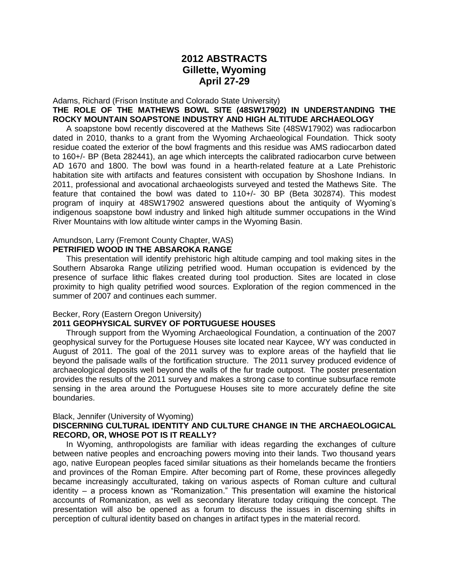# **2012 ABSTRACTS Gillette, Wyoming April 27-29**

Adams, Richard (Frison Institute and Colorado State University) **THE ROLE OF THE MATHEWS BOWL SITE (48SW17902) IN UNDERSTANDING THE ROCKY MOUNTAIN SOAPSTONE INDUSTRY AND HIGH ALTITUDE ARCHAEOLOGY**

 A soapstone bowl recently discovered at the Mathews Site (48SW17902) was radiocarbon dated in 2010, thanks to a grant from the Wyoming Archaeological Foundation. Thick sooty residue coated the exterior of the bowl fragments and this residue was AMS radiocarbon dated to 160+/- BP (Beta 282441), an age which intercepts the calibrated radiocarbon curve between AD 1670 and 1800. The bowl was found in a hearth-related feature at a Late Prehistoric habitation site with artifacts and features consistent with occupation by Shoshone Indians. In 2011, professional and avocational archaeologists surveyed and tested the Mathews Site. The feature that contained the bowl was dated to 110+/- 30 BP (Beta 302874). This modest program of inquiry at 48SW17902 answered questions about the antiquity of Wyoming's indigenous soapstone bowl industry and linked high altitude summer occupations in the Wind River Mountains with low altitude winter camps in the Wyoming Basin.

### Amundson, Larry (Fremont County Chapter, WAS) **PETRIFIED WOOD IN THE ABSAROKA RANGE**

 This presentation will identify prehistoric high altitude camping and tool making sites in the Southern Absaroka Range utilizing petrified wood. Human occupation is evidenced by the presence of surface lithic flakes created during tool production. Sites are located in close proximity to high quality petrified wood sources. Exploration of the region commenced in the summer of 2007 and continues each summer.

## Becker, Rory (Eastern Oregon University)

## **2011 GEOPHYSICAL SURVEY OF PORTUGUESE HOUSES**

 Through support from the Wyoming Archaeological Foundation, a continuation of the 2007 geophysical survey for the Portuguese Houses site located near Kaycee, WY was conducted in August of 2011. The goal of the 2011 survey was to explore areas of the hayfield that lie beyond the palisade walls of the fortification structure. The 2011 survey produced evidence of archaeological deposits well beyond the walls of the fur trade outpost. The poster presentation provides the results of the 2011 survey and makes a strong case to continue subsurface remote sensing in the area around the Portuguese Houses site to more accurately define the site boundaries.

## Black, Jennifer (University of Wyoming)

## **DISCERNING CULTURAL IDENTITY AND CULTURE CHANGE IN THE ARCHAEOLOGICAL RECORD, OR, WHOSE POT IS IT REALLY?**

 In Wyoming, anthropologists are familiar with ideas regarding the exchanges of culture between native peoples and encroaching powers moving into their lands. Two thousand years ago, native European peoples faced similar situations as their homelands became the frontiers and provinces of the Roman Empire. After becoming part of Rome, these provinces allegedly became increasingly acculturated, taking on various aspects of Roman culture and cultural identity – a process known as "Romanization." This presentation will examine the historical accounts of Romanization, as well as secondary literature today critiquing the concept. The presentation will also be opened as a forum to discuss the issues in discerning shifts in perception of cultural identity based on changes in artifact types in the material record.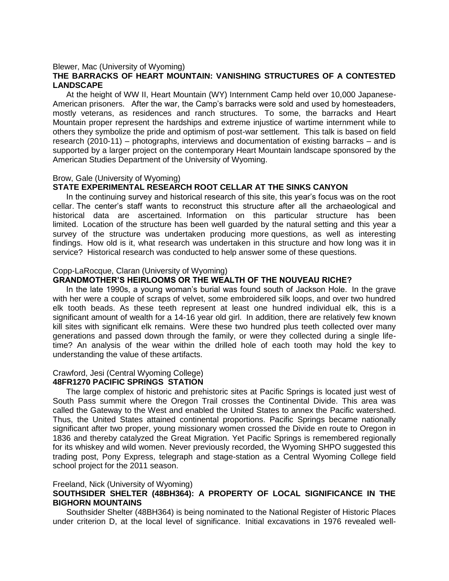#### Blewer, Mac (University of Wyoming)

## **THE BARRACKS OF HEART MOUNTAIN: VANISHING STRUCTURES OF A CONTESTED LANDSCAPE**

 At the height of WW II, Heart Mountain (WY) Internment Camp held over 10,000 Japanese-American prisoners. After the war, the Camp's barracks were sold and used by homesteaders, mostly veterans, as residences and ranch structures. To some, the barracks and Heart Mountain proper represent the hardships and extreme injustice of wartime internment while to others they symbolize the pride and optimism of post-war settlement. This talk is based on field research (2010-11) – photographs, interviews and documentation of existing barracks – and is supported by a larger project on the contemporary Heart Mountain landscape sponsored by the American Studies Department of the University of Wyoming.

#### Brow, Gale (University of Wyoming)

### **STATE EXPERIMENTAL RESEARCH ROOT CELLAR AT THE SINKS CANYON**

 In the continuing survey and historical research of this site, this year's focus was on the root cellar. The center's staff wants to reconstruct this structure after all the archaeological and historical data are ascertained. Information on this particular structure has been limited. Location of the structure has been well guarded by the natural setting and this year a survey of the structure was undertaken producing more questions, as well as interesting findings. How old is it, what research was undertaken in this structure and how long was it in service? Historical research was conducted to help answer some of these questions.

#### Copp-LaRocque, Claran (University of Wyoming)

#### **GRANDMOTHER'S HEIRLOOMS OR THE WEALTH OF THE NOUVEAU RICHE?**

 In the late 1990s, a young woman's burial was found south of Jackson Hole. In the grave with her were a couple of scraps of velvet, some embroidered silk loops, and over two hundred elk tooth beads. As these teeth represent at least one hundred individual elk, this is a significant amount of wealth for a 14-16 year old girl. In addition, there are relatively few known kill sites with significant elk remains. Were these two hundred plus teeth collected over many generations and passed down through the family, or were they collected during a single lifetime? An analysis of the wear within the drilled hole of each tooth may hold the key to understanding the value of these artifacts.

#### Crawford, Jesi (Central Wyoming College)

#### **48FR1270 PACIFIC SPRINGS STATION**

 The large complex of historic and prehistoric sites at Pacific Springs is located just west of South Pass summit where the Oregon Trail crosses the Continental Divide. This area was called the Gateway to the West and enabled the United States to annex the Pacific watershed. Thus, the United States attained continental proportions. Pacific Springs became nationally significant after two proper, young missionary women crossed the Divide en route to Oregon in 1836 and thereby catalyzed the Great Migration. Yet Pacific Springs is remembered regionally for its whiskey and wild women. Never previously recorded, the Wyoming SHPO suggested this trading post, Pony Express, telegraph and stage-station as a Central Wyoming College field school project for the 2011 season.

#### Freeland, Nick (University of Wyoming)

# **SOUTHSIDER SHELTER (48BH364): A PROPERTY OF LOCAL SIGNIFICANCE IN THE BIGHORN MOUNTAINS**

 Southsider Shelter (48BH364) is being nominated to the National Register of Historic Places under criterion D, at the local level of significance. Initial excavations in 1976 revealed well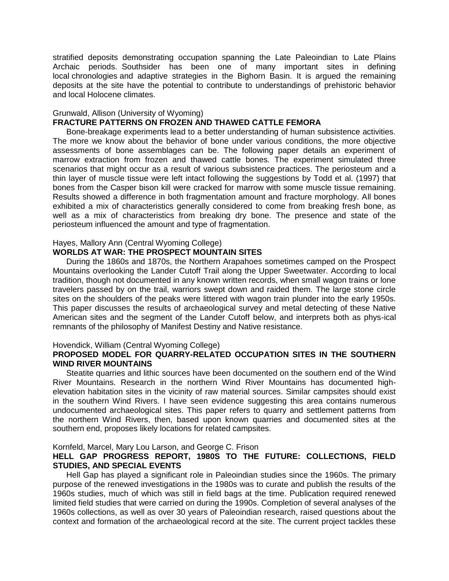stratified deposits demonstrating occupation spanning the Late Paleoindian to Late Plains Archaic periods. Southsider has been one of many important sites in defining local chronologies and adaptive strategies in the Bighorn Basin. It is argued the remaining deposits at the site have the potential to contribute to understandings of prehistoric behavior and local Holocene climates.

# Grunwald, Allison (University of Wyoming)

# **FRACTURE PATTERNS ON FROZEN AND THAWED CATTLE FEMORA**

 Bone-breakage experiments lead to a better understanding of human subsistence activities. The more we know about the behavior of bone under various conditions, the more objective assessments of bone assemblages can be. The following paper details an experiment of marrow extraction from frozen and thawed cattle bones. The experiment simulated three scenarios that might occur as a result of various subsistence practices. The periosteum and a thin layer of muscle tissue were left intact following the suggestions by Todd et al. (1997) that bones from the Casper bison kill were cracked for marrow with some muscle tissue remaining. Results showed a difference in both fragmentation amount and fracture morphology. All bones exhibited a mix of characteristics generally considered to come from breaking fresh bone, as well as a mix of characteristics from breaking dry bone. The presence and state of the periosteum influenced the amount and type of fragmentation.

## Hayes, Mallory Ann (Central Wyoming College)

## **WORLDS AT WAR: THE PROSPECT MOUNTAIN SITES**

 During the 1860s and 1870s, the Northern Arapahoes sometimes camped on the Prospect Mountains overlooking the Lander Cutoff Trail along the Upper Sweetwater. According to local tradition, though not documented in any known written records, when small wagon trains or lone travelers passed by on the trail, warriors swept down and raided them. The large stone circle sites on the shoulders of the peaks were littered with wagon train plunder into the early 1950s. This paper discusses the results of archaeological survey and metal detecting of these Native American sites and the segment of the Lander Cutoff below, and interprets both as phys-ical remnants of the philosophy of Manifest Destiny and Native resistance.

## Hovendick, William (Central Wyoming College)

## **PROPOSED MODEL FOR QUARRY-RELATED OCCUPATION SITES IN THE SOUTHERN WIND RIVER MOUNTAINS**

 Steatite quarries and lithic sources have been documented on the southern end of the Wind River Mountains. Research in the northern Wind River Mountains has documented highelevation habitation sites in the vicinity of raw material sources. Similar campsites should exist in the southern Wind Rivers. I have seen evidence suggesting this area contains numerous undocumented archaeological sites. This paper refers to quarry and settlement patterns from the northern Wind Rivers, then, based upon known quarries and documented sites at the southern end, proposes likely locations for related campsites.

## Kornfeld, Marcel, Mary Lou Larson, and George C. Frison

# **HELL GAP PROGRESS REPORT, 1980S TO THE FUTURE: COLLECTIONS, FIELD STUDIES, AND SPECIAL EVENTS**

 Hell Gap has played a significant role in Paleoindian studies since the 1960s. The primary purpose of the renewed investigations in the 1980s was to curate and publish the results of the 1960s studies, much of which was still in field bags at the time. Publication required renewed limited field studies that were carried on during the 1990s. Completion of several analyses of the 1960s collections, as well as over 30 years of Paleoindian research, raised questions about the context and formation of the archaeological record at the site. The current project tackles these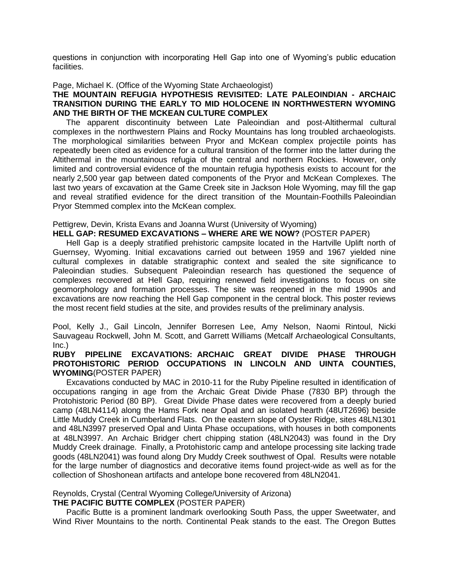questions in conjunction with incorporating Hell Gap into one of Wyoming's public education facilities.

#### Page, Michael K. (Office of the Wyoming State Archaeologist)

# **THE MOUNTAIN REFUGIA HYPOTHESIS REVISITED: LATE PALEOINDIAN - ARCHAIC TRANSITION DURING THE EARLY TO MID HOLOCENE IN NORTHWESTERN WYOMING AND THE BIRTH OF THE MCKEAN CULTURE COMPLEX**

 The apparent discontinuity between Late Paleoindian and post-Altithermal cultural complexes in the northwestern Plains and Rocky Mountains has long troubled archaeologists. The morphological similarities between Pryor and McKean complex projectile points has repeatedly been cited as evidence for a cultural transition of the former into the latter during the Altithermal in the mountainous refugia of the central and northern Rockies. However, only limited and controversial evidence of the mountain refugia hypothesis exists to account for the nearly 2,500 year gap between dated components of the Pryor and McKean Complexes. The last two years of excavation at the Game Creek site in Jackson Hole Wyoming, may fill the gap and reveal stratified evidence for the direct transition of the Mountain-Foothills Paleoindian Pryor Stemmed complex into the McKean complex.

# Pettigrew, Devin, Krista Evans and Joanna Wurst (University of Wyoming)

## **HELL GAP: RESUMED EXCAVATIONS – WHERE ARE WE NOW?** (POSTER PAPER)

 Hell Gap is a deeply stratified prehistoric campsite located in the Hartville Uplift north of Guernsey, Wyoming. Initial excavations carried out between 1959 and 1967 yielded nine cultural complexes in datable stratigraphic context and sealed the site significance to Paleoindian studies. Subsequent Paleoindian research has questioned the sequence of complexes recovered at Hell Gap, requiring renewed field investigations to focus on site geomorphology and formation processes. The site was reopened in the mid 1990s and excavations are now reaching the Hell Gap component in the central block. This poster reviews the most recent field studies at the site, and provides results of the preliminary analysis.

Pool, Kelly J., Gail Lincoln, Jennifer Borresen Lee, Amy Nelson, Naomi Rintoul, Nicki Sauvageau Rockwell, John M. Scott, and Garrett Williams (Metcalf Archaeological Consultants, Inc.)

# **RUBY PIPELINE EXCAVATIONS: ARCHAIC GREAT DIVIDE PHASE THROUGH PROTOHISTORIC PERIOD OCCUPATIONS IN LINCOLN AND UINTA COUNTIES, WYOMING**(POSTER PAPER)

 Excavations conducted by MAC in 2010-11 for the Ruby Pipeline resulted in identification of occupations ranging in age from the Archaic Great Divide Phase (7830 BP) through the Protohistoric Period (80 BP). Great Divide Phase dates were recovered from a deeply buried camp (48LN4114) along the Hams Fork near Opal and an isolated hearth (48UT2696) beside Little Muddy Creek in Cumberland Flats. On the eastern slope of Oyster Ridge, sites 48LN1301 and 48LN3997 preserved Opal and Uinta Phase occupations, with houses in both components at 48LN3997. An Archaic Bridger chert chipping station (48LN2043) was found in the Dry Muddy Creek drainage. Finally, a Protohistoric camp and antelope processing site lacking trade goods (48LN2041) was found along Dry Muddy Creek southwest of Opal. Results were notable for the large number of diagnostics and decorative items found project-wide as well as for the collection of Shoshonean artifacts and antelope bone recovered from 48LN2041.

# Reynolds, Crystal (Central Wyoming College/University of Arizona)

## **THE PACIFIC BUTTE COMPLEX** (POSTER PAPER)

 Pacific Butte is a prominent landmark overlooking South Pass, the upper Sweetwater, and Wind River Mountains to the north. Continental Peak stands to the east. The Oregon Buttes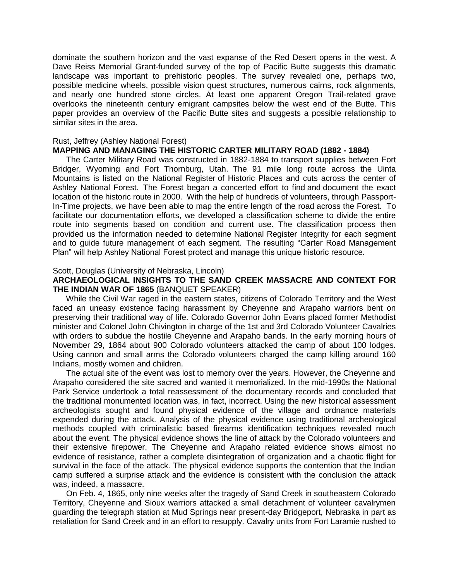dominate the southern horizon and the vast expanse of the Red Desert opens in the west. A Dave Reiss Memorial Grant-funded survey of the top of Pacific Butte suggests this dramatic landscape was important to prehistoric peoples. The survey revealed one, perhaps two, possible medicine wheels, possible vision quest structures, numerous cairns, rock alignments, and nearly one hundred stone circles. At least one apparent Oregon Trail-related grave overlooks the nineteenth century emigrant campsites below the west end of the Butte. This paper provides an overview of the Pacific Butte sites and suggests a possible relationship to similar sites in the area.

#### Rust, Jeffrey (Ashley National Forest)

#### **MAPPING AND MANAGING THE HISTORIC CARTER MILITARY ROAD (1882 - 1884)**

 The Carter Military Road was constructed in 1882-1884 to transport supplies between Fort Bridger, Wyoming and Fort Thornburg, Utah. The 91 mile long route across the Uinta Mountains is listed on the National Register of Historic Places and cuts across the center of Ashley National Forest. The Forest began a concerted effort to find and document the exact location of the historic route in 2000. With the help of hundreds of volunteers, through Passport-In-Time projects, we have been able to map the entire length of the road across the Forest. To facilitate our documentation efforts, we developed a classification scheme to divide the entire route into segments based on condition and current use. The classification process then provided us the information needed to determine National Register Integrity for each segment and to guide future management of each segment. The resulting "Carter Road Management Plan" will help Ashley National Forest protect and manage this unique historic resource.

#### Scott, Douglas (University of Nebraska, Lincoln)

## **ARCHAEOLOGICAL INSIGHTS TO THE SAND CREEK MASSACRE AND CONTEXT FOR THE INDIAN WAR OF 1865** (BANQUET SPEAKER)

 While the Civil War raged in the eastern states, citizens of Colorado Territory and the West faced an uneasy existence facing harassment by Cheyenne and Arapaho warriors bent on preserving their traditional way of life. Colorado Governor John Evans placed former Methodist minister and Colonel John Chivington in charge of the 1st and 3rd Colorado Volunteer Cavalries with orders to subdue the hostile Cheyenne and Arapaho bands. In the early morning hours of November 29, 1864 about 900 Colorado volunteers attacked the camp of about 100 lodges. Using cannon and small arms the Colorado volunteers charged the camp killing around 160 Indians, mostly women and children.

 The actual site of the event was lost to memory over the years. However, the Cheyenne and Arapaho considered the site sacred and wanted it memorialized. In the mid-1990s the National Park Service undertook a total reassessment of the documentary records and concluded that the traditional monumented location was, in fact, incorrect. Using the new historical assessment archeologists sought and found physical evidence of the village and ordnance materials expended during the attack. Analysis of the physical evidence using traditional archeological methods coupled with criminalistic based firearms identification techniques revealed much about the event. The physical evidence shows the line of attack by the Colorado volunteers and their extensive firepower. The Cheyenne and Arapaho related evidence shows almost no evidence of resistance, rather a complete disintegration of organization and a chaotic flight for survival in the face of the attack. The physical evidence supports the contention that the Indian camp suffered a surprise attack and the evidence is consistent with the conclusion the attack was, indeed, a massacre.

 On Feb. 4, 1865, only nine weeks after the tragedy of Sand Creek in southeastern Colorado Territory, Cheyenne and Sioux warriors attacked a small detachment of volunteer cavalrymen guarding the telegraph station at Mud Springs near present-day Bridgeport, Nebraska in part as retaliation for Sand Creek and in an effort to resupply. Cavalry units from Fort Laramie rushed to